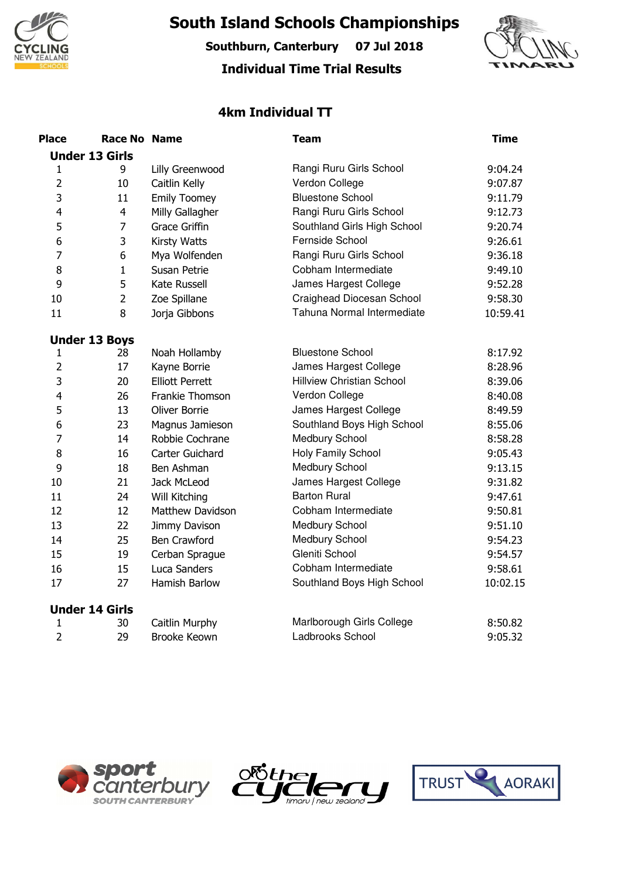

**South Island Schools Championships**

**Southburn, Canterbury 07 Jul 2018**

## **Individual Time Trial Results**



## **4km Individual TT**

| <b>Place</b>   | <b>Race No Name</b>   |                        | <b>Team</b>                      | <b>Time</b> |
|----------------|-----------------------|------------------------|----------------------------------|-------------|
|                | <b>Under 13 Girls</b> |                        |                                  |             |
| 1              | 9                     | Lilly Greenwood        | Rangi Ruru Girls School          | 9:04.24     |
| $\overline{2}$ | 10                    | Caitlin Kelly          | Verdon College                   | 9:07.87     |
| 3              | 11                    | <b>Emily Toomey</b>    | <b>Bluestone School</b>          | 9:11.79     |
| 4              | $\overline{4}$        | Milly Gallagher        | Rangi Ruru Girls School          | 9:12.73     |
| 5              | 7                     | <b>Grace Griffin</b>   | Southland Girls High School      | 9:20.74     |
| 6              | 3                     | Kirsty Watts           | Fernside School                  | 9:26.61     |
| 7              | 6                     | Mya Wolfenden          | Rangi Ruru Girls School          | 9:36.18     |
| 8              | $\mathbf{1}$          | Susan Petrie           | Cobham Intermediate              | 9:49.10     |
| 9              | 5                     | Kate Russell           | James Hargest College            | 9:52.28     |
| 10             | $\overline{2}$        | Zoe Spillane           | Craighead Diocesan School        | 9:58.30     |
| 11             | 8                     | Jorja Gibbons          | Tahuna Normal Intermediate       | 10:59.41    |
|                | <b>Under 13 Boys</b>  |                        |                                  |             |
| 1              | 28                    | Noah Hollamby          | <b>Bluestone School</b>          | 8:17.92     |
| $\overline{2}$ | 17                    | Kayne Borrie           | James Hargest College            | 8:28.96     |
| 3              | 20                    | <b>Elliott Perrett</b> | <b>Hillview Christian School</b> | 8:39.06     |
| 4              | 26                    | Frankie Thomson        | Verdon College                   | 8:40.08     |
| 5              | 13                    | Oliver Borrie          | James Hargest College            | 8:49.59     |
| 6              | 23                    | Magnus Jamieson        | Southland Boys High School       | 8:55.06     |
| $\overline{7}$ | 14                    | Robbie Cochrane        | Medbury School                   | 8:58.28     |
| 8              | 16                    | Carter Guichard        | Holy Family School               | 9:05.43     |
| 9              | 18                    | Ben Ashman             | Medbury School                   | 9:13.15     |
| 10             | 21                    | Jack McLeod            | James Hargest College            | 9:31.82     |
| 11             | 24                    | Will Kitching          | <b>Barton Rural</b>              | 9:47.61     |
| 12             | 12                    | Matthew Davidson       | Cobham Intermediate              | 9:50.81     |
| 13             | 22                    | Jimmy Davison          | Medbury School                   | 9:51.10     |
| 14             | 25                    | <b>Ben Crawford</b>    | Medbury School                   | 9:54.23     |
| 15             | 19                    | Cerban Sprague         | Gleniti School                   | 9:54.57     |
| 16             | 15                    | Luca Sanders           | Cobham Intermediate              | 9:58.61     |
| 17             | 27                    | Hamish Barlow          | Southland Boys High School       | 10:02.15    |
|                | <b>Under 14 Girls</b> |                        |                                  |             |
| 1              | 30                    | Caitlin Murphy         | Marlborough Girls College        | 8:50.82     |
| $\overline{2}$ | 29                    | <b>Brooke Keown</b>    | Ladbrooks School                 | 9:05.32     |





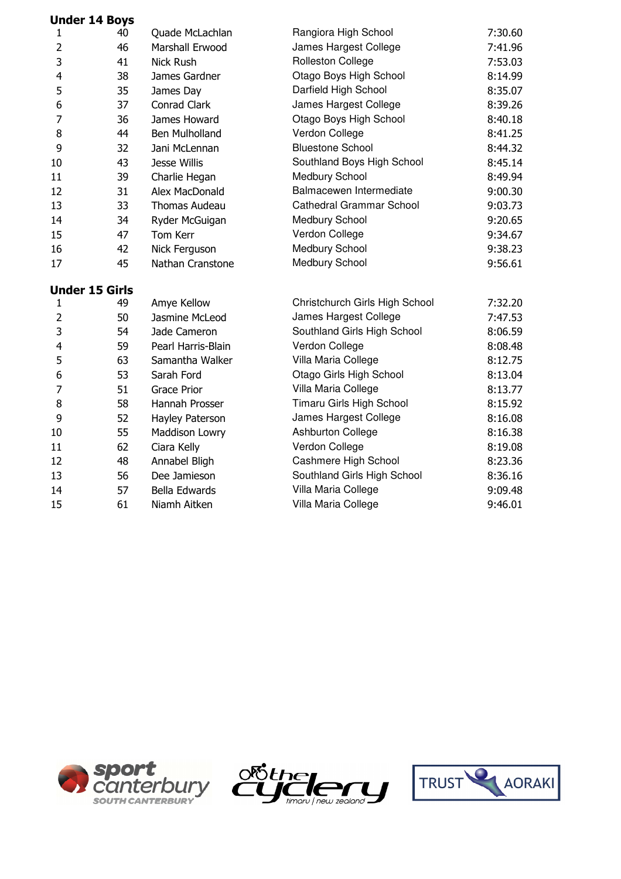|                | <b>Under 14 Boys</b>  |                       |                                 |         |
|----------------|-----------------------|-----------------------|---------------------------------|---------|
| 1              | 40                    | Quade McLachlan       | Rangiora High School            | 7:30.60 |
| 2              | 46                    | Marshall Erwood       | James Hargest College           | 7:41.96 |
| 3              | 41                    | <b>Nick Rush</b>      | <b>Rolleston College</b>        | 7:53.03 |
| 4              | 38                    | James Gardner         | Otago Boys High School          | 8:14.99 |
| 5              | 35                    | James Day             | Darfield High School            | 8:35.07 |
| 6              | 37                    | Conrad Clark          | James Hargest College           | 8:39.26 |
| 7              | 36                    | James Howard          | Otago Boys High School          | 8:40.18 |
| 8              | 44                    | <b>Ben Mulholland</b> | Verdon College                  | 8:41.25 |
| 9              | 32                    | Jani McLennan         | <b>Bluestone School</b>         | 8:44.32 |
| 10             | 43                    | Jesse Willis          | Southland Boys High School      | 8:45.14 |
| 11             | 39                    | Charlie Hegan         | Medbury School                  | 8:49.94 |
| 12             | 31                    | Alex MacDonald        | Balmacewen Intermediate         | 9:00.30 |
| 13             | 33                    | Thomas Audeau         | <b>Cathedral Grammar School</b> | 9:03.73 |
| 14             | 34                    | Ryder McGuigan        | Medbury School                  | 9:20.65 |
| 15             | 47                    | Tom Kerr              | Verdon College                  | 9:34.67 |
| 16             | 42                    | Nick Ferguson         | Medbury School                  | 9:38.23 |
| 17             | 45                    | Nathan Cranstone      | Medbury School                  | 9:56.61 |
|                | <b>Under 15 Girls</b> |                       |                                 |         |
| 1              | 49                    | Amye Kellow           | Christchurch Girls High School  | 7:32.20 |
| 2              | 50                    | Jasmine McLeod        | James Hargest College           | 7:47.53 |
| 3              | 54                    | Jade Cameron          | Southland Girls High School     | 8:06.59 |
| 4              | 59                    | Pearl Harris-Blain    | Verdon College                  | 8:08.48 |
| 5              | 63                    | Samantha Walker       | Villa Maria College             | 8:12.75 |
| 6              | 53                    | Sarah Ford            | Otago Girls High School         | 8:13.04 |
| $\overline{7}$ | 51                    | <b>Grace Prior</b>    | Villa Maria College             | 8:13.77 |
| 8              | 58                    | Hannah Prosser        | Timaru Girls High School        | 8:15.92 |
| 9              | 52                    | Hayley Paterson       | James Hargest College           | 8:16.08 |
| 10             | 55                    | Maddison Lowry        | Ashburton College               | 8:16.38 |
| 11             | 62                    | Ciara Kelly           | Verdon College                  | 8:19.08 |
| 12             | 48                    | Annabel Bligh         | Cashmere High School            | 8:23.36 |
| 13             | 56                    | Dee Jamieson          | Southland Girls High School     | 8:36.16 |
| 14             | 57                    | Bella Edwards         | Villa Maria College             | 9:09.48 |
| 15             | 61                    | Niamh Aitken          | Villa Maria College             | 9:46.01 |
|                |                       |                       |                                 |         |





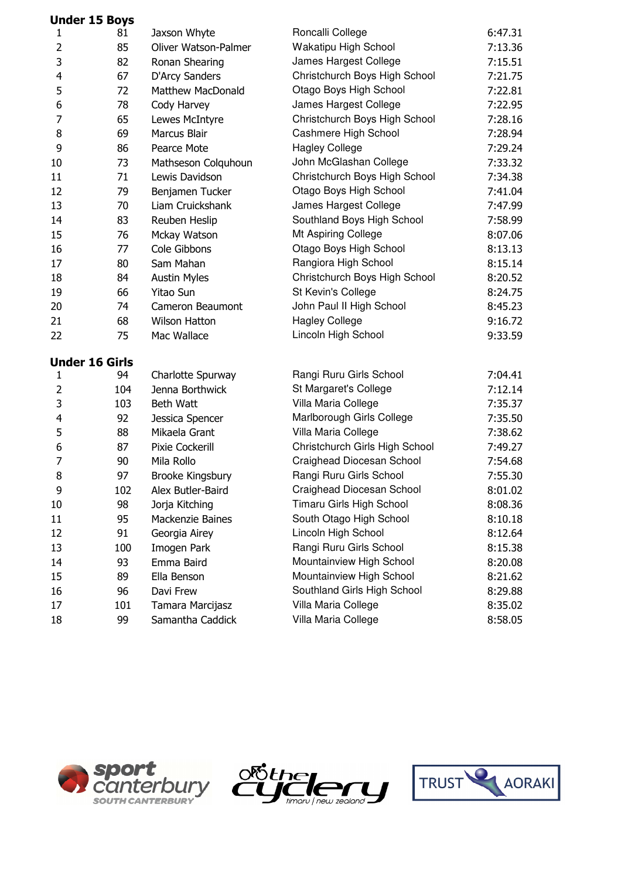|                         | <b>Under 15 Boys</b>  |                      |                                |         |
|-------------------------|-----------------------|----------------------|--------------------------------|---------|
| 1                       | 81                    | Jaxson Whyte         | Roncalli College               | 6:47.31 |
| 2                       | 85                    | Oliver Watson-Palmer | Wakatipu High School           | 7:13.36 |
| 3                       | 82                    | Ronan Shearing       | James Hargest College          | 7:15.51 |
| $\overline{\mathbf{4}}$ | 67                    | D'Arcy Sanders       | Christchurch Boys High School  | 7:21.75 |
| 5                       | 72                    | Matthew MacDonald    | Otago Boys High School         | 7:22.81 |
| 6                       | 78                    | Cody Harvey          | James Hargest College          | 7:22.95 |
| 7                       | 65                    | Lewes McIntyre       | Christchurch Boys High School  | 7:28.16 |
| 8                       | 69                    | Marcus Blair         | Cashmere High School           | 7:28.94 |
| 9                       | 86                    | Pearce Mote          | <b>Hagley College</b>          | 7:29.24 |
| 10                      | 73                    | Mathseson Colquhoun  | John McGlashan College         | 7:33.32 |
| 11                      | 71                    | Lewis Davidson       | Christchurch Boys High School  | 7:34.38 |
| 12                      | 79                    | Benjamen Tucker      | Otago Boys High School         | 7:41.04 |
| 13                      | 70                    | Liam Cruickshank     | James Hargest College          | 7:47.99 |
| 14                      | 83                    | Reuben Heslip        | Southland Boys High School     | 7:58.99 |
| 15                      | 76                    | Mckay Watson         | Mt Aspiring College            | 8:07.06 |
| 16                      | 77                    | Cole Gibbons         | Otago Boys High School         | 8:13.13 |
| 17                      | 80                    | Sam Mahan            | Rangiora High School           | 8:15.14 |
| 18                      | 84                    | <b>Austin Myles</b>  | Christchurch Boys High School  | 8:20.52 |
| 19                      | 66                    | <b>Yitao Sun</b>     | St Kevin's College             | 8:24.75 |
| 20                      | 74                    | Cameron Beaumont     | John Paul II High School       | 8:45.23 |
| 21                      | 68                    | <b>Wilson Hatton</b> | <b>Hagley College</b>          | 9:16.72 |
| 22                      | 75                    | Mac Wallace          | Lincoln High School            | 9:33.59 |
|                         | <b>Under 16 Girls</b> |                      |                                |         |
| $\mathbf{1}$            | 94                    | Charlotte Spurway    | Rangi Ruru Girls School        | 7:04.41 |
| $\overline{2}$          | 104                   | Jenna Borthwick      | St Margaret's College          | 7:12.14 |
| 3                       | 103                   | Beth Watt            | Villa Maria College            | 7:35.37 |
| 4                       | 92                    | Jessica Spencer      | Marlborough Girls College      | 7:35.50 |
| 5                       | 88                    | Mikaela Grant        | Villa Maria College            | 7:38.62 |
| 6                       | 87                    | Pixie Cockerill      | Christchurch Girls High School | 7:49.27 |
| 7                       | 90                    | Mila Rollo           | Craighead Diocesan School      | 7:54.68 |
| 8                       | 97                    | Brooke Kingsbury     | Rangi Ruru Girls School        | 7:55.30 |
| 9                       | 102                   | Alex Butler-Baird    | Craighead Diocesan School      | 8:01.02 |
| 10                      | 98                    | Jorja Kitching       | Timaru Girls High School       | 8:08.36 |
| 11                      | 95                    | Mackenzie Baines     | South Otago High School        | 8:10.18 |
| 12                      | 91                    | Georgia Airey        | Lincoln High School            | 8:12.64 |
| 13                      | 100                   | Imogen Park          | Rangi Ruru Girls School        | 8:15.38 |
| 14                      | 93                    | Emma Baird           | Mountainview High School       | 8:20.08 |
| 15                      | 89                    | Ella Benson          | Mountainview High School       | 8:21.62 |
| 16                      | 96                    | Davi Frew            | Southland Girls High School    | 8:29.88 |
| 17                      | 101                   | Tamara Marcijasz     | Villa Maria College            | 8:35.02 |
| 18                      | 99                    | Samantha Caddick     | Villa Maria College            | 8:58.05 |





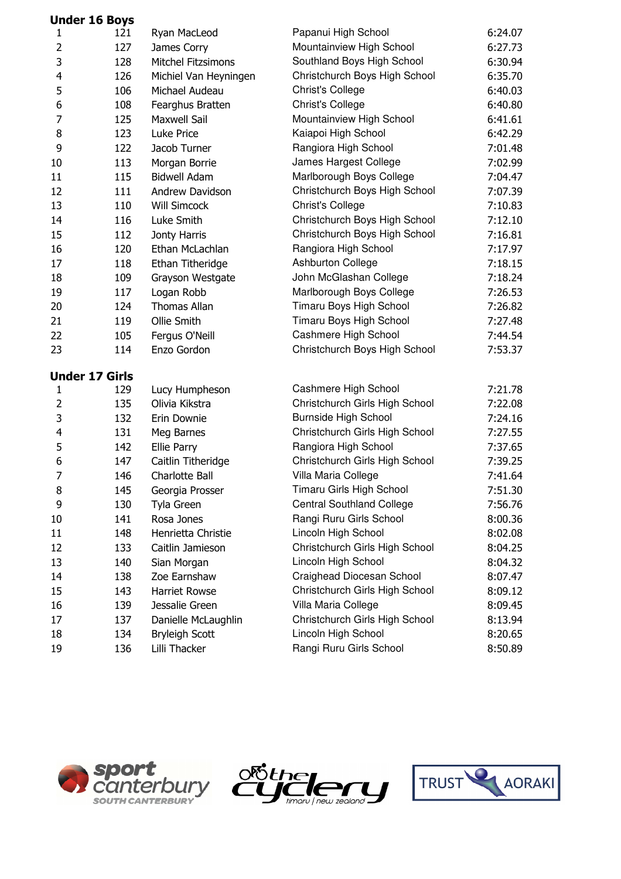|                | <b>Under 16 Boys</b>  |                           |                                  |         |
|----------------|-----------------------|---------------------------|----------------------------------|---------|
| 1              | 121                   | Ryan MacLeod              | Papanui High School              | 6:24.07 |
| $\overline{2}$ | 127                   | James Corry               | Mountainview High School         | 6:27.73 |
| 3              | 128                   | <b>Mitchel Fitzsimons</b> | Southland Boys High School       | 6:30.94 |
| 4              | 126                   | Michiel Van Heyningen     | Christchurch Boys High School    | 6:35.70 |
| 5              | 106                   | Michael Audeau            | <b>Christ's College</b>          | 6:40.03 |
| 6              | 108                   | Fearghus Bratten          | <b>Christ's College</b>          | 6:40.80 |
| 7              | 125                   | <b>Maxwell Sail</b>       | Mountainview High School         | 6:41.61 |
| 8              | 123                   | Luke Price                | Kaiapoi High School              | 6:42.29 |
| 9              | 122                   | Jacob Turner              | Rangiora High School             | 7:01.48 |
| 10             | 113                   | Morgan Borrie             | James Hargest College            | 7:02.99 |
| 11             | 115                   | <b>Bidwell Adam</b>       | Marlborough Boys College         | 7:04.47 |
| 12             | 111                   | Andrew Davidson           | Christchurch Boys High School    | 7:07.39 |
| 13             | 110                   | <b>Will Simcock</b>       | Christ's College                 | 7:10.83 |
| 14             | 116                   | Luke Smith                | Christchurch Boys High School    | 7:12.10 |
| 15             | 112                   | Jonty Harris              | Christchurch Boys High School    | 7:16.81 |
| 16             | 120                   | Ethan McLachlan           | Rangiora High School             | 7:17.97 |
| 17             | 118                   | Ethan Titheridge          | Ashburton College                | 7:18.15 |
| 18             | 109                   | Grayson Westgate          | John McGlashan College           | 7:18.24 |
| 19             | 117                   | Logan Robb                | Marlborough Boys College         | 7:26.53 |
| 20             | 124                   | <b>Thomas Allan</b>       | Timaru Boys High School          | 7:26.82 |
| 21             | 119                   | Ollie Smith               | Timaru Boys High School          | 7:27.48 |
| 22             | 105                   | Fergus O'Neill            | Cashmere High School             | 7:44.54 |
| 23             | 114                   | Enzo Gordon               | Christchurch Boys High School    | 7:53.37 |
|                | <b>Under 17 Girls</b> |                           |                                  |         |
| 1              | 129                   | Lucy Humpheson            | Cashmere High School             | 7:21.78 |
| $\overline{2}$ | 135                   | Olivia Kikstra            | Christchurch Girls High School   | 7:22.08 |
| 3              | 132                   | Erin Downie               | Burnside High School             | 7:24.16 |
| 4              | 131                   | Meg Barnes                | Christchurch Girls High School   | 7:27.55 |
| 5              | 142                   | Ellie Parry               | Rangiora High School             | 7:37.65 |
| 6              | 147                   | Caitlin Titheridge        | Christchurch Girls High School   | 7:39.25 |
| $\overline{7}$ | 146                   | Charlotte Ball            | Villa Maria College              | 7:41.64 |
| 8              | 145                   | Georgia Prosser           | Timaru Girls High School         | 7:51.30 |
| 9              | 130                   | Tyla Green                | <b>Central Southland College</b> | 7:56.76 |
| 10             | 141                   | Rosa Jones                | Rangi Ruru Girls School          | 8:00.36 |
| 11             | 148                   | Henrietta Christie        | Lincoln High School              | 8:02.08 |
| 12             | 133                   | Caitlin Jamieson          | Christchurch Girls High School   | 8:04.25 |
| 13             | 140                   | Sian Morgan               | Lincoln High School              | 8:04.32 |
| 14             | 138                   | Zoe Earnshaw              | Craighead Diocesan School        | 8:07.47 |
| 15             | 143                   | <b>Harriet Rowse</b>      | Christchurch Girls High School   | 8:09.12 |
| 16             | 139                   | Jessalie Green            | Villa Maria College              | 8:09.45 |
| 17             | 137                   | Danielle McLaughlin       | Christchurch Girls High School   | 8:13.94 |
| 18             | 134                   | <b>Bryleigh Scott</b>     | Lincoln High School              | 8:20.65 |
| 19             | 136                   | Lilli Thacker             | Rangi Ruru Girls School          | 8:50.89 |





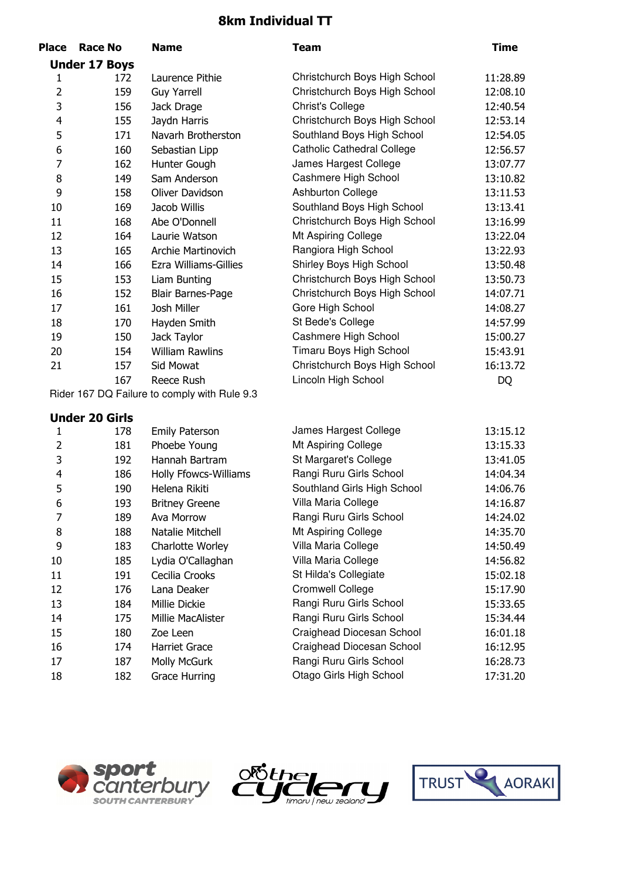## **8km Individual TT**

| <b>Place</b>   | <b>Race No</b>        | <b>Name</b>                                  | <b>Team</b>                       | <b>Time</b> |
|----------------|-----------------------|----------------------------------------------|-----------------------------------|-------------|
|                | <b>Under 17 Boys</b>  |                                              |                                   |             |
| 1              | 172                   | Laurence Pithie                              | Christchurch Boys High School     | 11:28.89    |
| $\overline{2}$ | 159                   | <b>Guy Yarrell</b>                           | Christchurch Boys High School     | 12:08.10    |
| 3              | 156                   | Jack Drage                                   | Christ's College                  | 12:40.54    |
| 4              | 155                   | Jaydn Harris                                 | Christchurch Boys High School     | 12:53.14    |
| 5              | 171                   | Navarh Brotherston                           | Southland Boys High School        | 12:54.05    |
| 6              | 160                   | Sebastian Lipp                               | <b>Catholic Cathedral College</b> | 12:56.57    |
| 7              | 162                   | Hunter Gough                                 | James Hargest College             | 13:07.77    |
| 8              | 149                   | Sam Anderson                                 | Cashmere High School              | 13:10.82    |
| 9              | 158                   | Oliver Davidson                              | <b>Ashburton College</b>          | 13:11.53    |
| 10             | 169                   | Jacob Willis                                 | Southland Boys High School        | 13:13.41    |
| 11             | 168                   | Abe O'Donnell                                | Christchurch Boys High School     | 13:16.99    |
| 12             | 164                   | Laurie Watson                                | Mt Aspiring College               | 13:22.04    |
| 13             | 165                   | Archie Martinovich                           | Rangiora High School              | 13:22.93    |
| 14             | 166                   | Ezra Williams-Gillies                        | Shirley Boys High School          | 13:50.48    |
| 15             | 153                   | Liam Bunting                                 | Christchurch Boys High School     | 13:50.73    |
| 16             | 152                   | <b>Blair Barnes-Page</b>                     | Christchurch Boys High School     | 14:07.71    |
| 17             | 161                   | Josh Miller                                  | Gore High School                  | 14:08.27    |
| 18             | 170                   | Hayden Smith                                 | St Bede's College                 | 14:57.99    |
| 19             | 150                   | Jack Taylor                                  | Cashmere High School              | 15:00.27    |
| 20             | 154                   | <b>William Rawlins</b>                       | Timaru Boys High School           | 15:43.91    |
| 21             | 157                   | Sid Mowat                                    | Christchurch Boys High School     | 16:13.72    |
|                | 167                   | Reece Rush                                   | Lincoln High School               | DQ          |
|                |                       | Rider 167 DQ Failure to comply with Rule 9.3 |                                   |             |
|                | <b>Under 20 Girls</b> |                                              |                                   |             |
| 1              | 178                   | <b>Emily Paterson</b>                        | James Hargest College             | 13:15.12    |
| $\overline{2}$ | 181                   | Phoebe Young                                 | Mt Aspiring College               | 13:15.33    |
| 3              | 192                   | Hannah Bartram                               | St Margaret's College             | 13:41.05    |
| 4              | 186                   | Holly Ffowcs-Williams                        | Rangi Ruru Girls School           | 14:04.34    |
| 5              | 190                   | Helena Rikiti                                | Southland Girls High School       | 14:06.76    |
| 6              | 193                   | <b>Britney Greene</b>                        | Villa Maria College               | 14:16.87    |
| 7              | 189                   | Ava Morrow                                   | Rangi Ruru Girls School           | 14:24.02    |
| 8              | 188                   | Natalie Mitchell                             | Mt Aspiring College               | 14:35.70    |
| 9              | 183                   | Charlotte Worley                             | Villa Maria College               | 14:50.49    |
| 10             | 185                   | Lydia O'Callaghan                            | Villa Maria College               | 14:56.82    |
| 11             | 191                   | Cecilia Crooks                               | St Hilda's Collegiate             | 15:02.18    |
| 12             | 176                   | Lana Deaker                                  | <b>Cromwell College</b>           | 15:17.90    |
| 13             | 184                   | Millie Dickie                                | Rangi Ruru Girls School           | 15:33.65    |
| 14             | 175                   | Millie MacAlister                            | Rangi Ruru Girls School           | 15:34.44    |
| 15             | 180                   | Zoe Leen                                     | Craighead Diocesan School         | 16:01.18    |

174 187 182

15 180 Zoe Leen Craighead Diocesan School 16:01.18 16 174 Harriet Grace Craighead Diocesan School 16:12.95 17 187 Molly McGurk Rangi Ruru Girls School 16:28.73 18 182 Grace Hurring Chago Girls High School 17:31.20